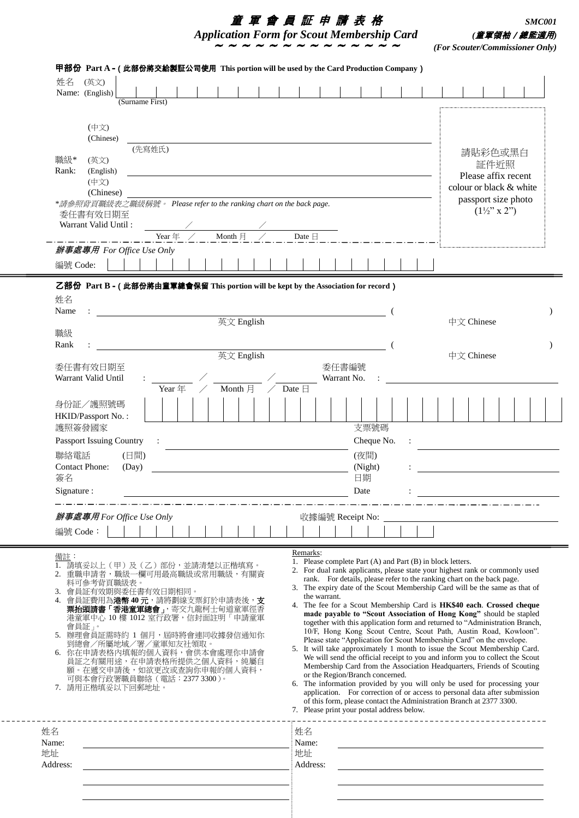| 董 軍 會 員 証 申 請 表 格                                 | <i>SMC001</i>                   |
|---------------------------------------------------|---------------------------------|
| <b>Application Form for Scout Membership Card</b> | (童軍領袖/總監適用)                     |
|                                                   | (For Scouter/Commissioner Only) |

| 姓名<br>(英文)<br>Name: (English)<br>(Surname First)                                                                                                                                                                                                                                                                                                                                                                                         |                          |                   |  |                      |  |                           |                                                                                                                     |                                                                                                                                                                                                                                                                                                                                                                                                                                                                                                                                                                                                                                                                                                                                                                                                                                                                                                                                                                                                                                                                                                                                                                                                                                                          |       |                                                     |  |                          |  |  |  |                          |  |  |  |  |
|------------------------------------------------------------------------------------------------------------------------------------------------------------------------------------------------------------------------------------------------------------------------------------------------------------------------------------------------------------------------------------------------------------------------------------------|--------------------------|-------------------|--|----------------------|--|---------------------------|---------------------------------------------------------------------------------------------------------------------|----------------------------------------------------------------------------------------------------------------------------------------------------------------------------------------------------------------------------------------------------------------------------------------------------------------------------------------------------------------------------------------------------------------------------------------------------------------------------------------------------------------------------------------------------------------------------------------------------------------------------------------------------------------------------------------------------------------------------------------------------------------------------------------------------------------------------------------------------------------------------------------------------------------------------------------------------------------------------------------------------------------------------------------------------------------------------------------------------------------------------------------------------------------------------------------------------------------------------------------------------------|-------|-----------------------------------------------------|--|--------------------------|--|--|--|--------------------------|--|--|--|--|
| (中文)<br>(Chinese)<br>(先寫姓氏)<br>職級*<br>(英文)<br>Rank:<br>(English)<br>(中文)<br>(Chinese)<br>*請參照背頁職級表之職級稱號。 Please refer to the ranking chart on the back page.<br>*請參照背頁職級表之職級稱號。 Please refer to the ranking chart on the back page.<br>委任書有效日期至<br>Warrant Valid Until:<br>Month $\n  H\n$<br>Date $\boxminus$<br>Year $\#$ /<br>辦事處專用 For Office Use Only                                                                               |                          |                   |  |                      |  |                           | 請貼彩色或黑白<br>証件近照<br>Please affix recent<br>colour or black & white<br>passport size photo<br>$(1\frac{1}{2}$ " x 2") |                                                                                                                                                                                                                                                                                                                                                                                                                                                                                                                                                                                                                                                                                                                                                                                                                                                                                                                                                                                                                                                                                                                                                                                                                                                          |       |                                                     |  |                          |  |  |  |                          |  |  |  |  |
| 編號 Code:                                                                                                                                                                                                                                                                                                                                                                                                                                 |                          |                   |  |                      |  |                           |                                                                                                                     |                                                                                                                                                                                                                                                                                                                                                                                                                                                                                                                                                                                                                                                                                                                                                                                                                                                                                                                                                                                                                                                                                                                                                                                                                                                          |       |                                                     |  |                          |  |  |  |                          |  |  |  |  |
| 姓名<br>Name<br>職級<br>Rank<br>委任書有效日期至<br>Warrant Valid Until                                                                                                                                                                                                                                                                                                                                                                              |                          |                   |  | 英文 English           |  |                           |                                                                                                                     |                                                                                                                                                                                                                                                                                                                                                                                                                                                                                                                                                                                                                                                                                                                                                                                                                                                                                                                                                                                                                                                                                                                                                                                                                                                          | 委任書編號 | Warrant No.                                         |  |                          |  |  |  | 中文 Chinese<br>中文 Chinese |  |  |  |  |
| 身份証/護照號碼<br>HKID/Passport No.:<br>護照簽發國家<br>Passport Issuing Country<br>聯絡電話<br>(日間)<br><b>Contact Phone:</b><br>(Day)<br>簽名<br>Signature :                                                                                                                                                                                                                                                                                              | $\sim 10^{11}$ m $^{-1}$ | Year <sup>F</sup> |  | Month $\overline{H}$ |  | $\angle$ Date $\boxminus$ |                                                                                                                     |                                                                                                                                                                                                                                                                                                                                                                                                                                                                                                                                                                                                                                                                                                                                                                                                                                                                                                                                                                                                                                                                                                                                                                                                                                                          |       | 支票號碼<br>Cheque No.<br>(夜間)<br>(Night)<br>日期<br>Date |  | $\mathcal{L}_{\rm{max}}$ |  |  |  |                          |  |  |  |  |
| 辦事處專用 For Office Use Only<br>編號 Code:                                                                                                                                                                                                                                                                                                                                                                                                    |                          |                   |  |                      |  |                           |                                                                                                                     | 收據編號 Receipt No:                                                                                                                                                                                                                                                                                                                                                                                                                                                                                                                                                                                                                                                                                                                                                                                                                                                                                                                                                                                                                                                                                                                                                                                                                                         |       |                                                     |  |                          |  |  |  |                          |  |  |  |  |
| 備註:<br>1. 請填妥以上(甲)及(乙)部份,並請清楚以正楷填寫。<br>2. 重職申請者,職級一欄可用最高職級或常用職級,有關資<br>料可参考背頁職級表。<br>會員証有效期與委任書有效日期相同。<br>3.<br>會員証費用為港幣40元,請將劃線支票釘於申請表後,支<br>4.<br><b>票抬頭請書「香港童軍總會」</b> ,寄交九龍柯士甸道童軍徑香<br>港童軍中心 10 樓 1012 室行政署,信封面註明「申請童軍<br>會員証」。<br>5. 辦理會員証需時約 1 個月,屆時將會連同收據發信通知你<br>到總會/所屬地域/署/童軍知友社領取。<br>6. 你在申請表格內填報的個人資料,會供本會處理你申請會<br>員証之有關用途,在申請表格所提供之個人資料,純屬自<br>願。在遞交申請後,如欲更改或查詢你申報的個人資料,<br>可與本會行政署職員聯絡(電話: 2377 3300)。<br>7. 請用正楷填妥以下回郵地址。 |                          |                   |  |                      |  |                           | Remarks:                                                                                                            | 1. Please complete Part (A) and Part (B) in block letters.<br>2. For dual rank applicants, please state your highest rank or commonly used<br>rank. For details, please refer to the ranking chart on the back page.<br>3. The expiry date of the Scout Membership Card will be the same as that of<br>the warrant.<br>4. The fee for a Scout Membership Card is HK\$40 each. Crossed cheque<br>made payable to "Scout Association of Hong Kong" should be stapled<br>together with this application form and returned to "Administration Branch,<br>10/F, Hong Kong Scout Centre, Scout Path, Austin Road, Kowloon".<br>Please state "Application for Scout Membership Card" on the envelope.<br>5. It will take approximately 1 month to issue the Scout Membership Card.<br>We will send the official receipt to you and inform you to collect the Scout<br>Membership Card from the Association Headquarters, Friends of Scouting<br>or the Region/Branch concerned.<br>6. The information provided by you will only be used for processing your<br>application. For correction of or access to personal data after submission<br>of this form, please contact the Administration Branch at 2377 3300.<br>7. Please print your postal address below. |       |                                                     |  |                          |  |  |  |                          |  |  |  |  |
| 姓名<br>Name:<br>地址<br>Address:                                                                                                                                                                                                                                                                                                                                                                                                            |                          |                   |  |                      |  |                           | 姓名<br>Name:<br>地址<br>Address:                                                                                       |                                                                                                                                                                                                                                                                                                                                                                                                                                                                                                                                                                                                                                                                                                                                                                                                                                                                                                                                                                                                                                                                                                                                                                                                                                                          |       |                                                     |  |                          |  |  |  |                          |  |  |  |  |